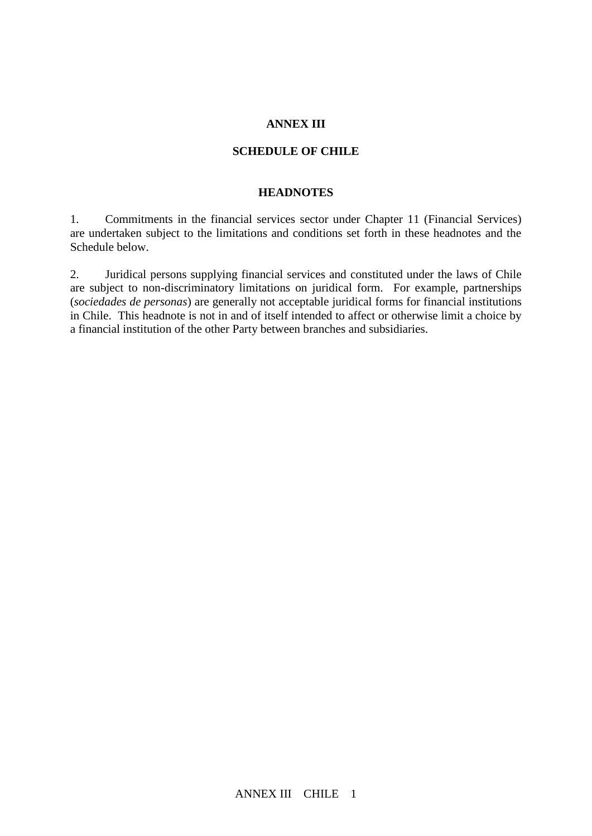#### **ANNEX III**

#### **SCHEDULE OF CHILE**

#### **HEADNOTES**

1. Commitments in the financial services sector under Chapter 11 (Financial Services) are undertaken subject to the limitations and conditions set forth in these headnotes and the Schedule below.

2. Juridical persons supplying financial services and constituted under the laws of Chile are subject to non-discriminatory limitations on juridical form. For example, partnerships (*sociedades de personas*) are generally not acceptable juridical forms for financial institutions in Chile. This headnote is not in and of itself intended to affect or otherwise limit a choice by a financial institution of the other Party between branches and subsidiaries.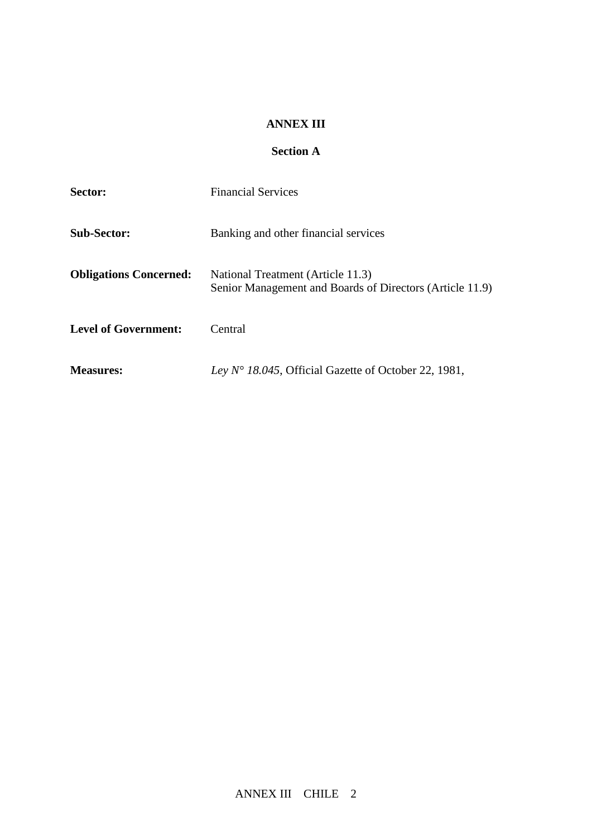### **ANNEX III**

## **Section A**

| Sector:                       | <b>Financial Services</b>                                                                     |  |
|-------------------------------|-----------------------------------------------------------------------------------------------|--|
| <b>Sub-Sector:</b>            | Banking and other financial services                                                          |  |
| <b>Obligations Concerned:</b> | National Treatment (Article 11.3)<br>Senior Management and Boards of Directors (Article 11.9) |  |
| <b>Level of Government:</b>   | Central                                                                                       |  |
| <b>Measures:</b>              | Ley $N^{\circ}$ 18.045, Official Gazette of October 22, 1981,                                 |  |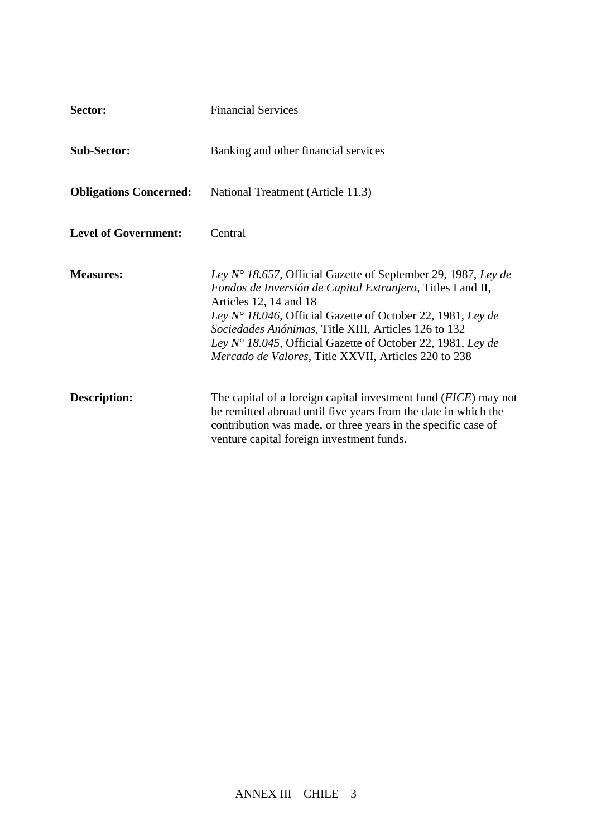| Sector:                       | <b>Financial Services</b>                                                                                                                                                                                                                                                                                                                                                                                              |  |
|-------------------------------|------------------------------------------------------------------------------------------------------------------------------------------------------------------------------------------------------------------------------------------------------------------------------------------------------------------------------------------------------------------------------------------------------------------------|--|
| <b>Sub-Sector:</b>            | Banking and other financial services                                                                                                                                                                                                                                                                                                                                                                                   |  |
| <b>Obligations Concerned:</b> | National Treatment (Article 11.3)                                                                                                                                                                                                                                                                                                                                                                                      |  |
| <b>Level of Government:</b>   | Central                                                                                                                                                                                                                                                                                                                                                                                                                |  |
| <b>Measures:</b>              | Ley $N^{\circ}$ 18.657, Official Gazette of September 29, 1987, Ley de<br>Fondos de Inversión de Capital Extranjero, Titles I and II,<br>Articles 12, 14 and 18<br>Ley N° 18.046, Official Gazette of October 22, 1981, Ley de<br>Sociedades Anónimas, Title XIII, Articles 126 to 132<br>Ley $N^{\circ}$ 18.045, Official Gazette of October 22, 1981, Ley de<br>Mercado de Valores, Title XXVII, Articles 220 to 238 |  |
| <b>Description:</b>           | The capital of a foreign capital investment fund ( <i>FICE</i> ) may not<br>be remitted abroad until five years from the date in which the<br>contribution was made, or three years in the specific case of<br>venture capital foreign investment funds.                                                                                                                                                               |  |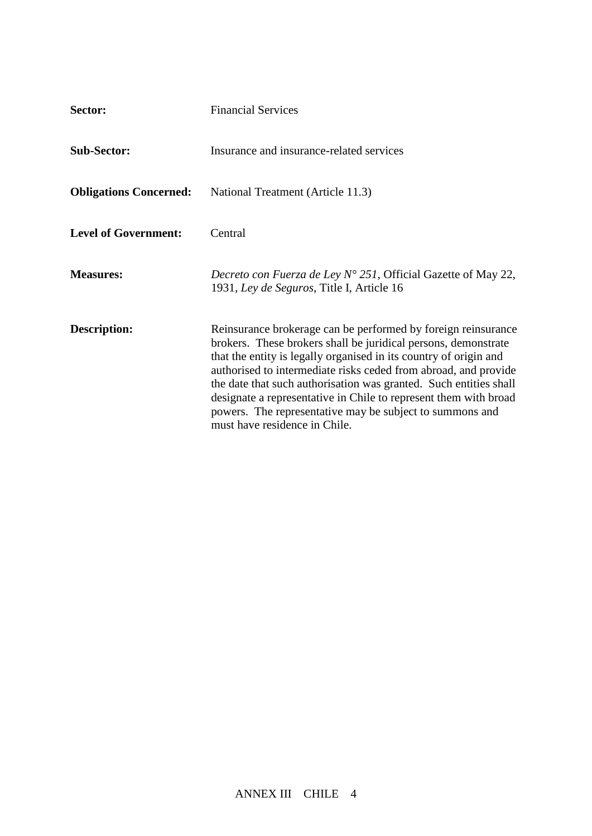| Sector:                       | <b>Financial Services</b>                                                                                                                                                                                                                                                                                                                                                                                                                                                                                     |  |
|-------------------------------|---------------------------------------------------------------------------------------------------------------------------------------------------------------------------------------------------------------------------------------------------------------------------------------------------------------------------------------------------------------------------------------------------------------------------------------------------------------------------------------------------------------|--|
| <b>Sub-Sector:</b>            | Insurance and insurance-related services                                                                                                                                                                                                                                                                                                                                                                                                                                                                      |  |
| <b>Obligations Concerned:</b> | National Treatment (Article 11.3)                                                                                                                                                                                                                                                                                                                                                                                                                                                                             |  |
| <b>Level of Government:</b>   | Central                                                                                                                                                                                                                                                                                                                                                                                                                                                                                                       |  |
| <b>Measures:</b>              | Decreto con Fuerza de Ley $N^{\circ}$ 251, Official Gazette of May 22,<br>1931, Ley de Seguros, Title I, Article 16                                                                                                                                                                                                                                                                                                                                                                                           |  |
| Description:                  | Reinsurance brokerage can be performed by foreign reinsurance<br>brokers. These brokers shall be juridical persons, demonstrate<br>that the entity is legally organised in its country of origin and<br>authorised to intermediate risks ceded from abroad, and provide<br>the date that such authorisation was granted. Such entities shall<br>designate a representative in Chile to represent them with broad<br>powers. The representative may be subject to summons and<br>must have residence in Chile. |  |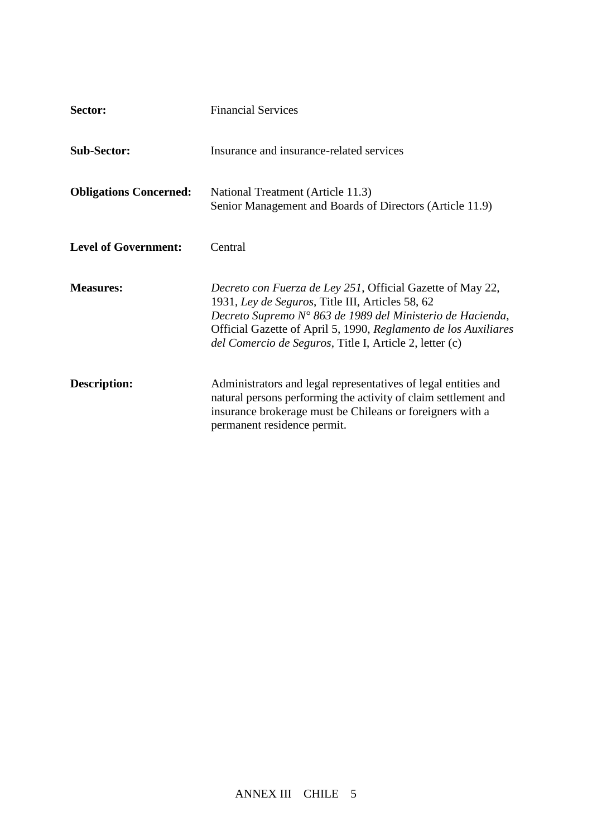| Sector:                       | <b>Financial Services</b>                                                                                                                                                                                                                                                                                  |  |
|-------------------------------|------------------------------------------------------------------------------------------------------------------------------------------------------------------------------------------------------------------------------------------------------------------------------------------------------------|--|
| <b>Sub-Sector:</b>            | Insurance and insurance-related services                                                                                                                                                                                                                                                                   |  |
| <b>Obligations Concerned:</b> | National Treatment (Article 11.3)<br>Senior Management and Boards of Directors (Article 11.9)                                                                                                                                                                                                              |  |
| <b>Level of Government:</b>   | Central                                                                                                                                                                                                                                                                                                    |  |
| <b>Measures:</b>              | Decreto con Fuerza de Ley 251, Official Gazette of May 22,<br>1931, Ley de Seguros, Title III, Articles 58, 62<br>Decreto Supremo Nº 863 de 1989 del Ministerio de Hacienda,<br>Official Gazette of April 5, 1990, Reglamento de los Auxiliares<br>del Comercio de Seguros, Title I, Article 2, letter (c) |  |
| <b>Description:</b>           | Administrators and legal representatives of legal entities and<br>natural persons performing the activity of claim settlement and<br>insurance brokerage must be Chileans or foreigners with a<br>permanent residence permit.                                                                              |  |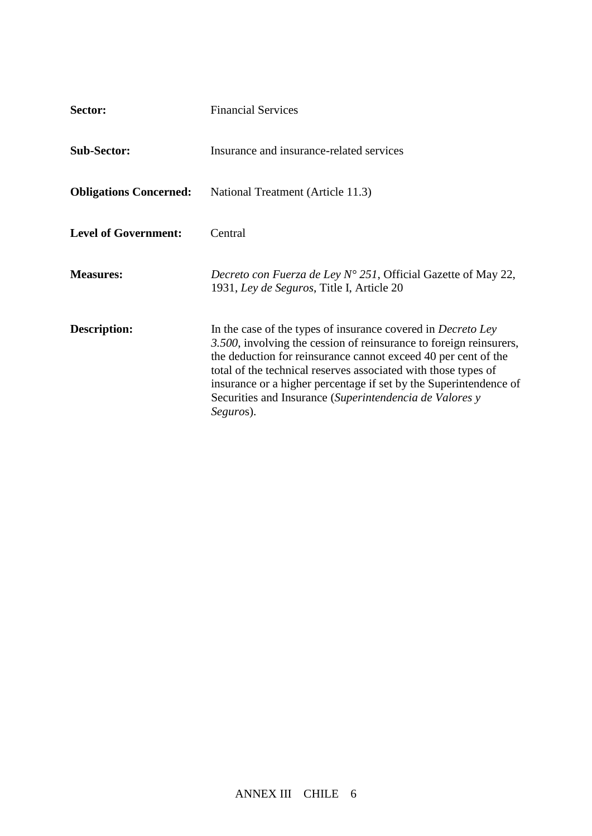| Sector:                       | <b>Financial Services</b>                                                                                                                                                                                                                                                                                                                                                                                           |  |
|-------------------------------|---------------------------------------------------------------------------------------------------------------------------------------------------------------------------------------------------------------------------------------------------------------------------------------------------------------------------------------------------------------------------------------------------------------------|--|
| <b>Sub-Sector:</b>            | Insurance and insurance-related services                                                                                                                                                                                                                                                                                                                                                                            |  |
| <b>Obligations Concerned:</b> | National Treatment (Article 11.3)                                                                                                                                                                                                                                                                                                                                                                                   |  |
| <b>Level of Government:</b>   | Central                                                                                                                                                                                                                                                                                                                                                                                                             |  |
| <b>Measures:</b>              | Decreto con Fuerza de Ley $N^{\circ}$ 251, Official Gazette of May 22,<br>1931, Ley de Seguros, Title I, Article 20                                                                                                                                                                                                                                                                                                 |  |
| Description:                  | In the case of the types of insurance covered in Decreto Ley<br>3.500, involving the cession of reinsurance to foreign reinsurers,<br>the deduction for reinsurance cannot exceed 40 per cent of the<br>total of the technical reserves associated with those types of<br>insurance or a higher percentage if set by the Superintendence of<br>Securities and Insurance (Superintendencia de Valores y<br>Seguros). |  |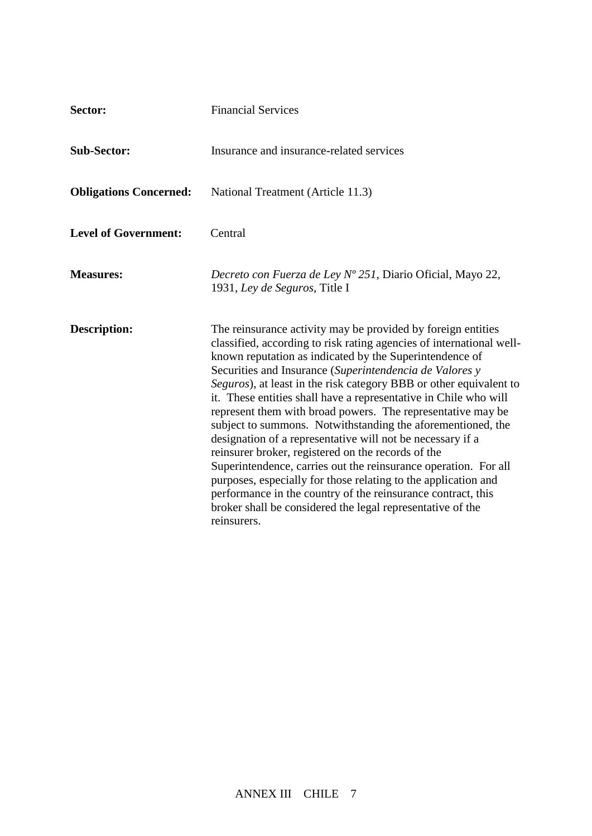| Sector:                       | <b>Financial Services</b>                                                                                                                                                                                                                                                                                                                                                                                                                                                                                                                                                                                                                                                                                                                                                                                                                                                                                                                |  |
|-------------------------------|------------------------------------------------------------------------------------------------------------------------------------------------------------------------------------------------------------------------------------------------------------------------------------------------------------------------------------------------------------------------------------------------------------------------------------------------------------------------------------------------------------------------------------------------------------------------------------------------------------------------------------------------------------------------------------------------------------------------------------------------------------------------------------------------------------------------------------------------------------------------------------------------------------------------------------------|--|
| <b>Sub-Sector:</b>            | Insurance and insurance-related services                                                                                                                                                                                                                                                                                                                                                                                                                                                                                                                                                                                                                                                                                                                                                                                                                                                                                                 |  |
| <b>Obligations Concerned:</b> | National Treatment (Article 11.3)                                                                                                                                                                                                                                                                                                                                                                                                                                                                                                                                                                                                                                                                                                                                                                                                                                                                                                        |  |
| <b>Level of Government:</b>   | Central                                                                                                                                                                                                                                                                                                                                                                                                                                                                                                                                                                                                                                                                                                                                                                                                                                                                                                                                  |  |
| <b>Measures:</b>              | Decreto con Fuerza de Ley Nº 251, Diario Oficial, Mayo 22,<br>1931, Ley de Seguros, Title I                                                                                                                                                                                                                                                                                                                                                                                                                                                                                                                                                                                                                                                                                                                                                                                                                                              |  |
| <b>Description:</b>           | The reinsurance activity may be provided by foreign entities<br>classified, according to risk rating agencies of international well-<br>known reputation as indicated by the Superintendence of<br>Securities and Insurance (Superintendencia de Valores y<br>Seguros), at least in the risk category BBB or other equivalent to<br>it. These entities shall have a representative in Chile who will<br>represent them with broad powers. The representative may be<br>subject to summons. Notwithstanding the aforementioned, the<br>designation of a representative will not be necessary if a<br>reinsurer broker, registered on the records of the<br>Superintendence, carries out the reinsurance operation. For all<br>purposes, especially for those relating to the application and<br>performance in the country of the reinsurance contract, this<br>broker shall be considered the legal representative of the<br>reinsurers. |  |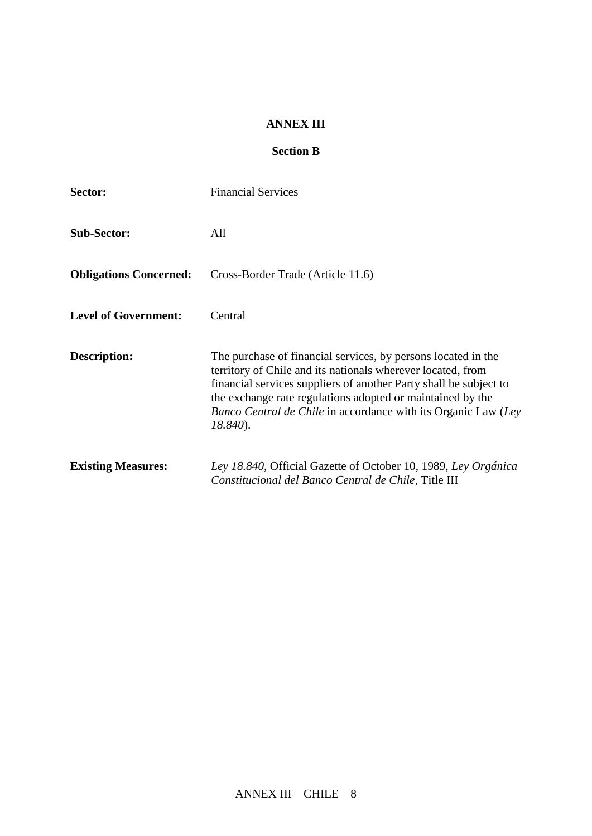### **ANNEX III**

## **Section B**

| Sector:                       | <b>Financial Services</b>                                                                                                                                                                                                                                                                                                                        |
|-------------------------------|--------------------------------------------------------------------------------------------------------------------------------------------------------------------------------------------------------------------------------------------------------------------------------------------------------------------------------------------------|
| <b>Sub-Sector:</b>            | All                                                                                                                                                                                                                                                                                                                                              |
| <b>Obligations Concerned:</b> | Cross-Border Trade (Article 11.6)                                                                                                                                                                                                                                                                                                                |
| <b>Level of Government:</b>   | Central                                                                                                                                                                                                                                                                                                                                          |
| Description:                  | The purchase of financial services, by persons located in the<br>territory of Chile and its nationals wherever located, from<br>financial services suppliers of another Party shall be subject to<br>the exchange rate regulations adopted or maintained by the<br>Banco Central de Chile in accordance with its Organic Law (Ley<br>$18.840$ ). |
| <b>Existing Measures:</b>     | Ley 18.840, Official Gazette of October 10, 1989, Ley Orgánica<br>Constitucional del Banco Central de Chile, Title III                                                                                                                                                                                                                           |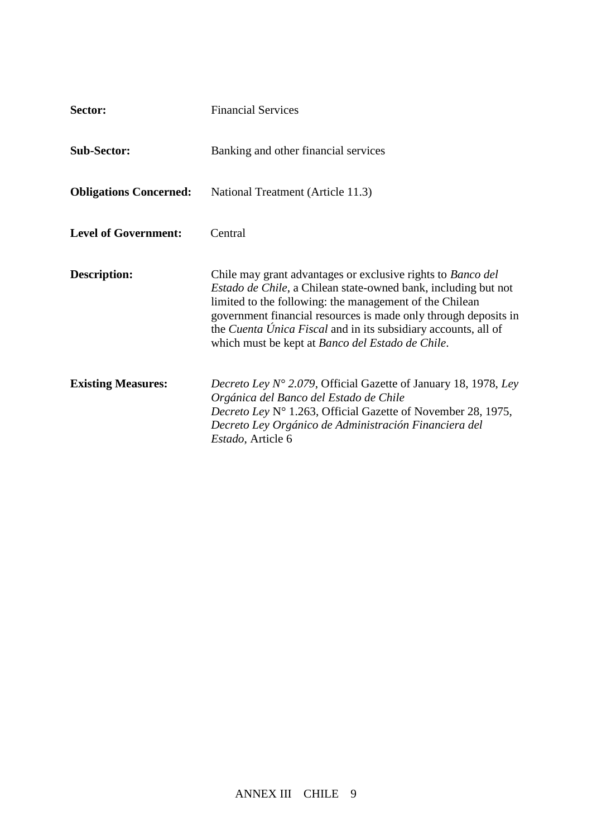| Sector:                       | <b>Financial Services</b>                                                                                                                                                                                                                                                                                                                                                                               |  |
|-------------------------------|---------------------------------------------------------------------------------------------------------------------------------------------------------------------------------------------------------------------------------------------------------------------------------------------------------------------------------------------------------------------------------------------------------|--|
| <b>Sub-Sector:</b>            | Banking and other financial services                                                                                                                                                                                                                                                                                                                                                                    |  |
| <b>Obligations Concerned:</b> | National Treatment (Article 11.3)                                                                                                                                                                                                                                                                                                                                                                       |  |
| <b>Level of Government:</b>   | Central                                                                                                                                                                                                                                                                                                                                                                                                 |  |
| <b>Description:</b>           | Chile may grant advantages or exclusive rights to <i>Banco del</i><br><i>Estado de Chile</i> , a Chilean state-owned bank, including but not<br>limited to the following: the management of the Chilean<br>government financial resources is made only through deposits in<br>the <i>Cuenta Única Fiscal</i> and in its subsidiary accounts, all of<br>which must be kept at Banco del Estado de Chile. |  |
| <b>Existing Measures:</b>     | Decreto Ley N° 2.079, Official Gazette of January 18, 1978, Ley<br>Orgánica del Banco del Estado de Chile<br>Decreto Ley N° 1.263, Official Gazette of November 28, 1975,<br>Decreto Ley Orgánico de Administración Financiera del<br>Estado, Article 6                                                                                                                                                 |  |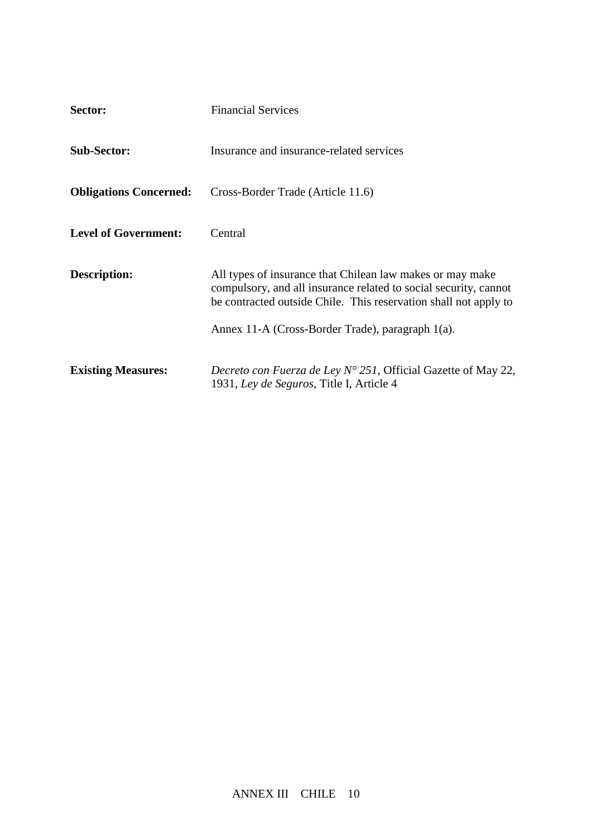| Sector:                       | <b>Financial Services</b>                                                                                                                                                                                                                             |  |
|-------------------------------|-------------------------------------------------------------------------------------------------------------------------------------------------------------------------------------------------------------------------------------------------------|--|
| <b>Sub-Sector:</b>            | Insurance and insurance-related services                                                                                                                                                                                                              |  |
| <b>Obligations Concerned:</b> | Cross-Border Trade (Article 11.6)                                                                                                                                                                                                                     |  |
| <b>Level of Government:</b>   | Central                                                                                                                                                                                                                                               |  |
| Description:                  | All types of insurance that Chilean law makes or may make<br>compulsory, and all insurance related to social security, cannot<br>be contracted outside Chile. This reservation shall not apply to<br>Annex 11-A (Cross-Border Trade), paragraph 1(a). |  |
| <b>Existing Measures:</b>     | <i>Decreto con Fuerza de Ley Nº 251</i> , Official Gazette of May 22,<br>1931, Ley de Seguros, Title I, Article 4                                                                                                                                     |  |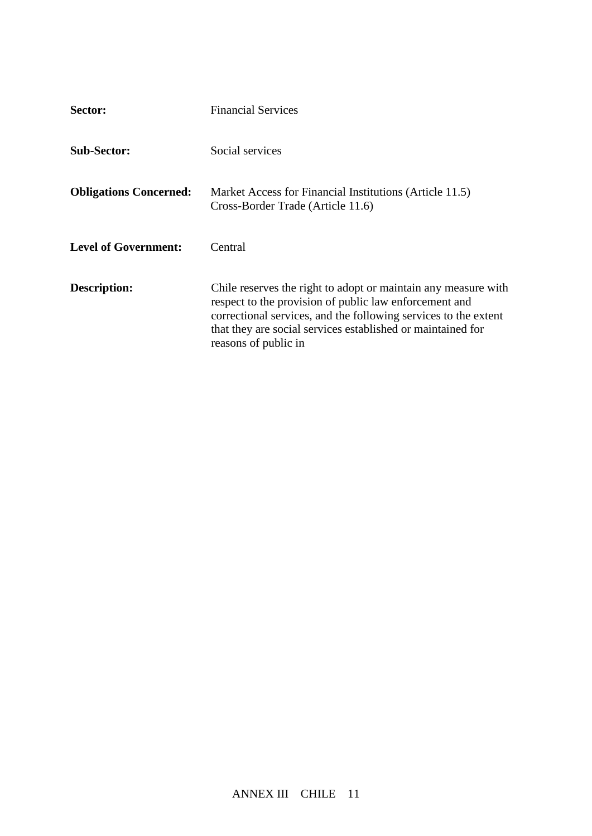| Sector:                       | <b>Financial Services</b>                                                                                                                                                                                                                                                          |  |
|-------------------------------|------------------------------------------------------------------------------------------------------------------------------------------------------------------------------------------------------------------------------------------------------------------------------------|--|
| <b>Sub-Sector:</b>            | Social services                                                                                                                                                                                                                                                                    |  |
| <b>Obligations Concerned:</b> | Market Access for Financial Institutions (Article 11.5)<br>Cross-Border Trade (Article 11.6)                                                                                                                                                                                       |  |
| <b>Level of Government:</b>   | Central                                                                                                                                                                                                                                                                            |  |
| Description:                  | Chile reserves the right to adopt or maintain any measure with<br>respect to the provision of public law enforcement and<br>correctional services, and the following services to the extent<br>that they are social services established or maintained for<br>reasons of public in |  |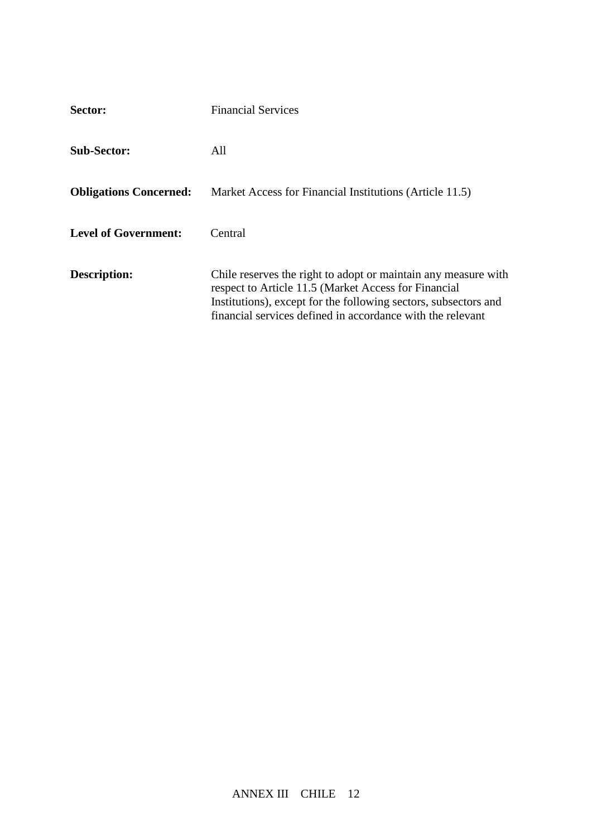| Sector:                       | <b>Financial Services</b>                                                                                                                                                                                                                               |  |
|-------------------------------|---------------------------------------------------------------------------------------------------------------------------------------------------------------------------------------------------------------------------------------------------------|--|
| <b>Sub-Sector:</b>            | All                                                                                                                                                                                                                                                     |  |
| <b>Obligations Concerned:</b> | Market Access for Financial Institutions (Article 11.5)                                                                                                                                                                                                 |  |
| <b>Level of Government:</b>   | Central                                                                                                                                                                                                                                                 |  |
| Description:                  | Chile reserves the right to adopt or maintain any measure with<br>respect to Article 11.5 (Market Access for Financial<br>Institutions), except for the following sectors, subsectors and<br>financial services defined in accordance with the relevant |  |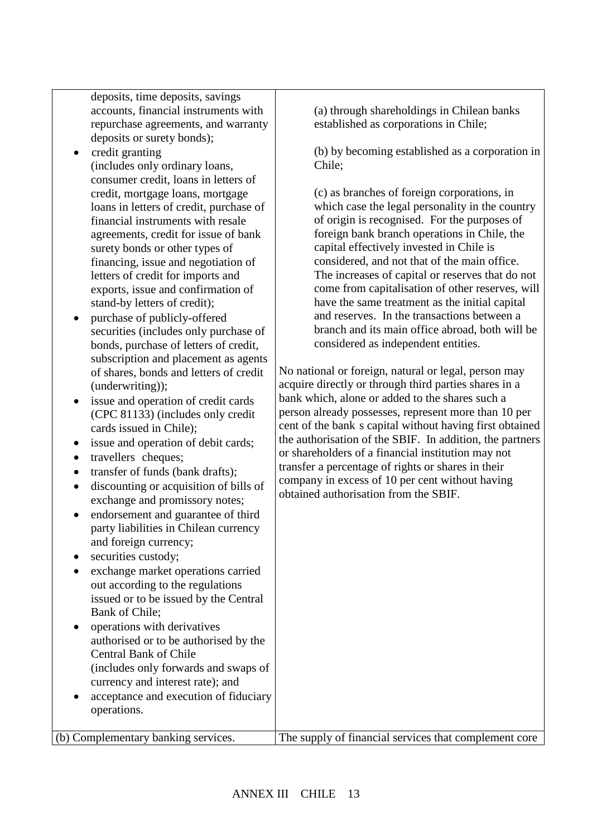deposits, time deposits, savings accounts, financial instruments with repurchase agreements, and warranty deposits or surety bonds);

- credit granting (includes only ordinary loans, consumer credit, loans in letters of credit, mortgage loans, mortgage loans in letters of credit, purchase of financial instruments with resale agreements, credit for issue of bank surety bonds or other types of financing, issue and negotiation of letters of credit for imports and exports, issue and confirmation of stand-by letters of credit);
- purchase of publicly-offered securities (includes only purchase of bonds, purchase of letters of credit, subscription and placement as agents of shares, bonds and letters of credit (underwriting));

• issue and operation of credit cards (CPC 81133) (includes only credit cards issued in Chile);

- issue and operation of debit cards;
- travellers cheques;
- transfer of funds (bank drafts);
- discounting or acquisition of bills of exchange and promissory notes;
- endorsement and guarantee of third party liabilities in Chilean currency and foreign currency;
- securities custody;
- exchange market operations carried out according to the regulations issued or to be issued by the Central Bank of Chile;
- operations with derivatives authorised or to be authorised by the Central Bank of Chile (includes only forwards and swaps of currency and interest rate); and
- acceptance and execution of fiduciary operations.

(a) through shareholdings in Chilean banks established as corporations in Chile;

(b) by becoming established as a corporation in Chile;

(c) as branches of foreign corporations, in which case the legal personality in the country of origin is recognised. For the purposes of foreign bank branch operations in Chile, the capital effectively invested in Chile is considered, and not that of the main office. The increases of capital or reserves that do not come from capitalisation of other reserves, will have the same treatment as the initial capital and reserves. In the transactions between a branch and its main office abroad, both will be considered as independent entities.

No national or foreign, natural or legal, person may acquire directly or through third parties shares in a bank which, alone or added to the shares such a person already possesses, represent more than 10 per cent of the bank s capital without having first obtained the authorisation of the SBIF. In addition, the partners or shareholders of a financial institution may not transfer a percentage of rights or shares in their company in excess of 10 per cent without having obtained authorisation from the SBIF.

(b) Complementary banking services. The supply of financial services that complement core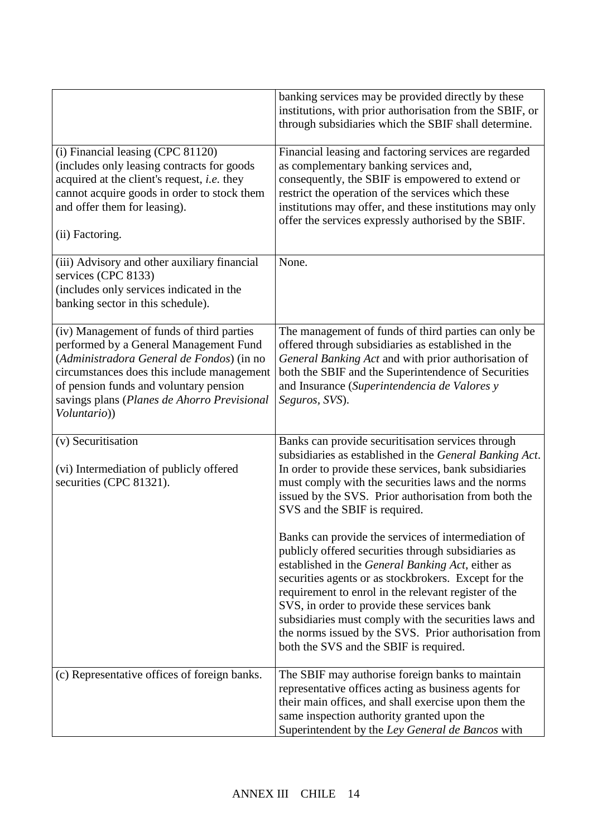|                                                                                                                                                                                                                                                                                         | banking services may be provided directly by these<br>institutions, with prior authorisation from the SBIF, or<br>through subsidiaries which the SBIF shall determine.                                                                                                                                                                                                                                                                                                                                                                                                                                                                                                                                                                                                                                              |
|-----------------------------------------------------------------------------------------------------------------------------------------------------------------------------------------------------------------------------------------------------------------------------------------|---------------------------------------------------------------------------------------------------------------------------------------------------------------------------------------------------------------------------------------------------------------------------------------------------------------------------------------------------------------------------------------------------------------------------------------------------------------------------------------------------------------------------------------------------------------------------------------------------------------------------------------------------------------------------------------------------------------------------------------------------------------------------------------------------------------------|
| $(i)$ Financial leasing (CPC 81120)<br>(includes only leasing contracts for goods<br>acquired at the client's request, i.e. they<br>cannot acquire goods in order to stock them<br>and offer them for leasing).<br>(ii) Factoring.                                                      | Financial leasing and factoring services are regarded<br>as complementary banking services and,<br>consequently, the SBIF is empowered to extend or<br>restrict the operation of the services which these<br>institutions may offer, and these institutions may only<br>offer the services expressly authorised by the SBIF.                                                                                                                                                                                                                                                                                                                                                                                                                                                                                        |
| (iii) Advisory and other auxiliary financial<br>services (CPC 8133)<br>(includes only services indicated in the<br>banking sector in this schedule).                                                                                                                                    | None.                                                                                                                                                                                                                                                                                                                                                                                                                                                                                                                                                                                                                                                                                                                                                                                                               |
| (iv) Management of funds of third parties<br>performed by a General Management Fund<br>(Administradora General de Fondos) (in no<br>circumstances does this include management<br>of pension funds and voluntary pension<br>savings plans (Planes de Ahorro Previsional<br>Voluntario)) | The management of funds of third parties can only be<br>offered through subsidiaries as established in the<br>General Banking Act and with prior authorisation of<br>both the SBIF and the Superintendence of Securities<br>and Insurance (Superintendencia de Valores y<br>Seguros, SVS).                                                                                                                                                                                                                                                                                                                                                                                                                                                                                                                          |
| (v) Securitisation<br>(vi) Intermediation of publicly offered<br>securities (CPC 81321).                                                                                                                                                                                                | Banks can provide securitisation services through<br>subsidiaries as established in the General Banking Act.<br>In order to provide these services, bank subsidiaries<br>must comply with the securities laws and the norms<br>issued by the SVS. Prior authorisation from both the<br>SVS and the SBIF is required.<br>Banks can provide the services of intermediation of<br>publicly offered securities through subsidiaries as<br>established in the General Banking Act, either as<br>securities agents or as stockbrokers. Except for the<br>requirement to enrol in the relevant register of the<br>SVS, in order to provide these services bank<br>subsidiaries must comply with the securities laws and<br>the norms issued by the SVS. Prior authorisation from<br>both the SVS and the SBIF is required. |
| (c) Representative offices of foreign banks.                                                                                                                                                                                                                                            | The SBIF may authorise foreign banks to maintain<br>representative offices acting as business agents for<br>their main offices, and shall exercise upon them the<br>same inspection authority granted upon the<br>Superintendent by the Ley General de Bancos with                                                                                                                                                                                                                                                                                                                                                                                                                                                                                                                                                  |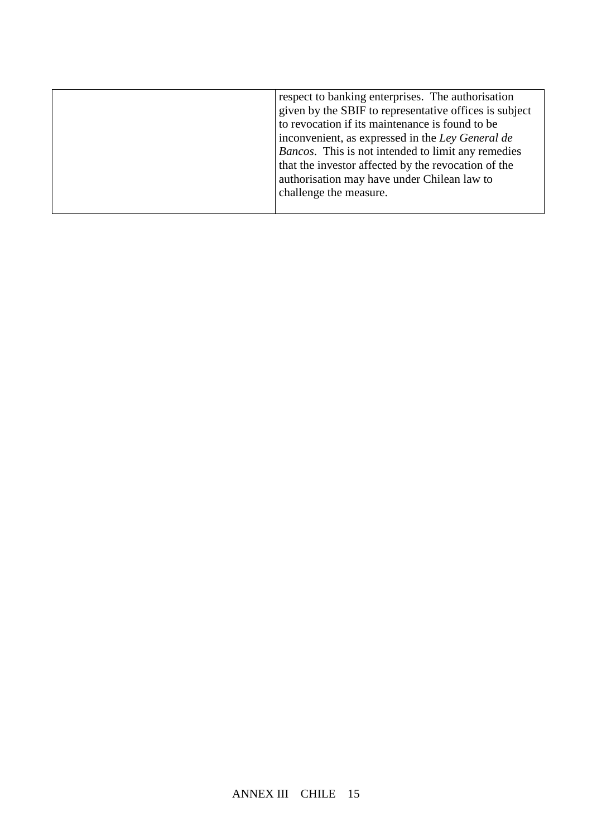| respect to banking enterprises. The authorisation      |
|--------------------------------------------------------|
| given by the SBIF to representative offices is subject |
| to revocation if its maintenance is found to be        |
| inconvenient, as expressed in the Ley General de       |
| Bancos. This is not intended to limit any remedies     |
| that the investor affected by the revocation of the    |
| authorisation may have under Chilean law to            |
| challenge the measure.                                 |
|                                                        |
|                                                        |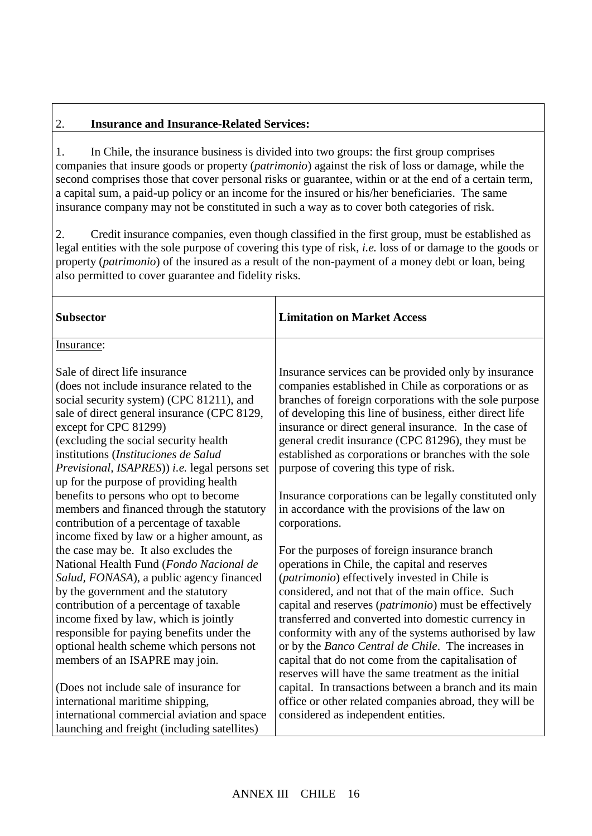## 2. **Insurance and Insurance-Related Services:**

1. In Chile, the insurance business is divided into two groups: the first group comprises companies that insure goods or property (*patrimonio*) against the risk of loss or damage, while the second comprises those that cover personal risks or guarantee, within or at the end of a certain term, a capital sum, a paid-up policy or an income for the insured or his/her beneficiaries. The same insurance company may not be constituted in such a way as to cover both categories of risk.

2. Credit insurance companies, even though classified in the first group, must be established as legal entities with the sole purpose of covering this type of risk, *i.e.* loss of or damage to the goods or property (*patrimonio*) of the insured as a result of the non-payment of a money debt or loan, being also permitted to cover guarantee and fidelity risks.

| <b>Subsector</b>                                                                                                                                                                                                                                                                                                                                                                   | <b>Limitation on Market Access</b>                                                                                                                                                                                                                                                                                                                                                                                                                                                                                                                        |
|------------------------------------------------------------------------------------------------------------------------------------------------------------------------------------------------------------------------------------------------------------------------------------------------------------------------------------------------------------------------------------|-----------------------------------------------------------------------------------------------------------------------------------------------------------------------------------------------------------------------------------------------------------------------------------------------------------------------------------------------------------------------------------------------------------------------------------------------------------------------------------------------------------------------------------------------------------|
| Insurance:                                                                                                                                                                                                                                                                                                                                                                         |                                                                                                                                                                                                                                                                                                                                                                                                                                                                                                                                                           |
| Sale of direct life insurance<br>(does not include insurance related to the<br>social security system) (CPC 81211), and<br>sale of direct general insurance (CPC 8129,<br>except for CPC 81299)<br>(excluding the social security health<br>institutions (Instituciones de Salud<br>Previsional, ISAPRES)) i.e. legal persons set<br>up for the purpose of providing health        | Insurance services can be provided only by insurance<br>companies established in Chile as corporations or as<br>branches of foreign corporations with the sole purpose<br>of developing this line of business, either direct life<br>insurance or direct general insurance. In the case of<br>general credit insurance (CPC 81296), they must be<br>established as corporations or branches with the sole<br>purpose of covering this type of risk.                                                                                                       |
| benefits to persons who opt to become<br>members and financed through the statutory<br>contribution of a percentage of taxable<br>income fixed by law or a higher amount, as                                                                                                                                                                                                       | Insurance corporations can be legally constituted only<br>in accordance with the provisions of the law on<br>corporations.                                                                                                                                                                                                                                                                                                                                                                                                                                |
| the case may be. It also excludes the<br>National Health Fund (Fondo Nacional de<br>Salud, FONASA), a public agency financed<br>by the government and the statutory<br>contribution of a percentage of taxable<br>income fixed by law, which is jointly<br>responsible for paying benefits under the<br>optional health scheme which persons not<br>members of an ISAPRE may join. | For the purposes of foreign insurance branch<br>operations in Chile, the capital and reserves<br>(patrimonio) effectively invested in Chile is<br>considered, and not that of the main office. Such<br>capital and reserves ( <i>patrimonio</i> ) must be effectively<br>transferred and converted into domestic currency in<br>conformity with any of the systems authorised by law<br>or by the Banco Central de Chile. The increases in<br>capital that do not come from the capitalisation of<br>reserves will have the same treatment as the initial |
| (Does not include sale of insurance for<br>international maritime shipping,<br>international commercial aviation and space<br>launching and freight (including satellites)                                                                                                                                                                                                         | capital. In transactions between a branch and its main<br>office or other related companies abroad, they will be<br>considered as independent entities.                                                                                                                                                                                                                                                                                                                                                                                                   |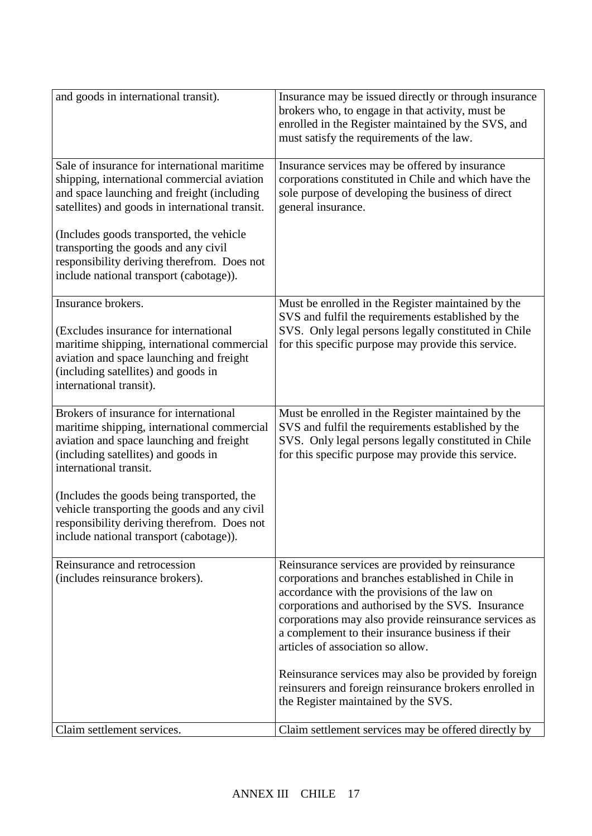| and goods in international transit).                                                                                                                                                                                     | Insurance may be issued directly or through insurance<br>brokers who, to engage in that activity, must be<br>enrolled in the Register maintained by the SVS, and<br>must satisfy the requirements of the law.                                                                                                                                                 |
|--------------------------------------------------------------------------------------------------------------------------------------------------------------------------------------------------------------------------|---------------------------------------------------------------------------------------------------------------------------------------------------------------------------------------------------------------------------------------------------------------------------------------------------------------------------------------------------------------|
| Sale of insurance for international maritime<br>shipping, international commercial aviation<br>and space launching and freight (including<br>satellites) and goods in international transit.                             | Insurance services may be offered by insurance<br>corporations constituted in Chile and which have the<br>sole purpose of developing the business of direct<br>general insurance.                                                                                                                                                                             |
| (Includes goods transported, the vehicle<br>transporting the goods and any civil<br>responsibility deriving therefrom. Does not<br>include national transport (cabotage)).                                               |                                                                                                                                                                                                                                                                                                                                                               |
| Insurance brokers.<br>(Excludes insurance for international<br>maritime shipping, international commercial<br>aviation and space launching and freight<br>(including satellites) and goods in<br>international transit). | Must be enrolled in the Register maintained by the<br>SVS and fulfil the requirements established by the<br>SVS. Only legal persons legally constituted in Chile<br>for this specific purpose may provide this service.                                                                                                                                       |
| Brokers of insurance for international<br>maritime shipping, international commercial<br>aviation and space launching and freight<br>(including satellites) and goods in<br>international transit.                       | Must be enrolled in the Register maintained by the<br>SVS and fulfil the requirements established by the<br>SVS. Only legal persons legally constituted in Chile<br>for this specific purpose may provide this service.                                                                                                                                       |
| (Includes the goods being transported, the<br>vehicle transporting the goods and any civil<br>responsibility deriving therefrom. Does not<br>include national transport (cabotage)).                                     |                                                                                                                                                                                                                                                                                                                                                               |
| Reinsurance and retrocession<br>(includes reinsurance brokers).                                                                                                                                                          | Reinsurance services are provided by reinsurance<br>corporations and branches established in Chile in<br>accordance with the provisions of the law on<br>corporations and authorised by the SVS. Insurance<br>corporations may also provide reinsurance services as<br>a complement to their insurance business if their<br>articles of association so allow. |
|                                                                                                                                                                                                                          | Reinsurance services may also be provided by foreign<br>reinsurers and foreign reinsurance brokers enrolled in<br>the Register maintained by the SVS.                                                                                                                                                                                                         |
| Claim settlement services.                                                                                                                                                                                               | Claim settlement services may be offered directly by                                                                                                                                                                                                                                                                                                          |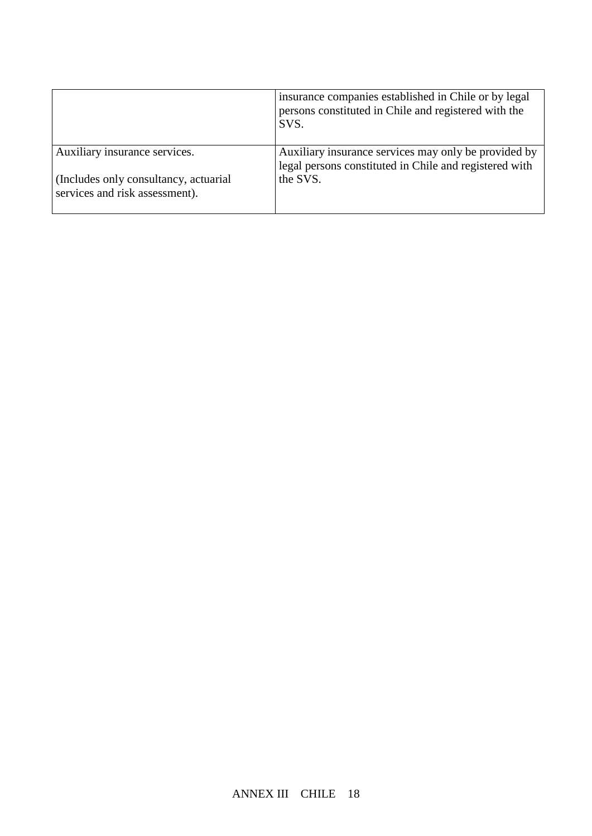|                                                                         | insurance companies established in Chile or by legal<br>persons constituted in Chile and registered with the<br>SVS. |
|-------------------------------------------------------------------------|----------------------------------------------------------------------------------------------------------------------|
| Auxiliary insurance services.                                           | Auxiliary insurance services may only be provided by<br>legal persons constituted in Chile and registered with       |
| (Includes only consultancy, actuarial<br>services and risk assessment). | the SVS.                                                                                                             |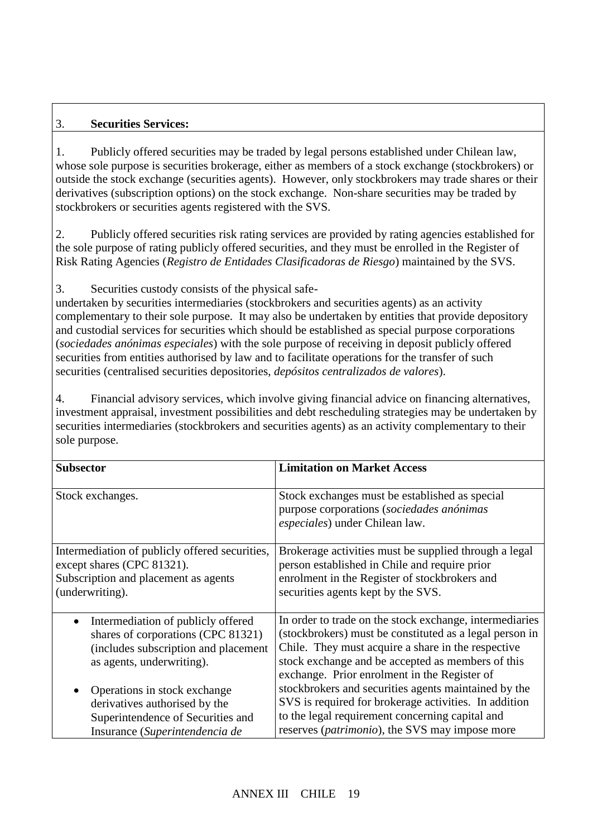## 3. **Securities Services:**

1. Publicly offered securities may be traded by legal persons established under Chilean law, whose sole purpose is securities brokerage, either as members of a stock exchange (stockbrokers) or outside the stock exchange (securities agents). However, only stockbrokers may trade shares or their derivatives (subscription options) on the stock exchange. Non-share securities may be traded by stockbrokers or securities agents registered with the SVS.

2. Publicly offered securities risk rating services are provided by rating agencies established for the sole purpose of rating publicly offered securities, and they must be enrolled in the Register of Risk Rating Agencies (*Registro de Entidades Clasificadoras de Riesgo*) maintained by the SVS.

3. Securities custody consists of the physical safe-

undertaken by securities intermediaries (stockbrokers and securities agents) as an activity complementary to their sole purpose. It may also be undertaken by entities that provide depository and custodial services for securities which should be established as special purpose corporations (*sociedades anónimas especiales*) with the sole purpose of receiving in deposit publicly offered securities from entities authorised by law and to facilitate operations for the transfer of such securities (centralised securities depositories, *depósitos centralizados de valores*).

4. Financial advisory services, which involve giving financial advice on financing alternatives, investment appraisal, investment possibilities and debt rescheduling strategies may be undertaken by securities intermediaries (stockbrokers and securities agents) as an activity complementary to their sole purpose.

| <b>Subsector</b>                               | <b>Limitation on Market Access</b>                                                                                            |
|------------------------------------------------|-------------------------------------------------------------------------------------------------------------------------------|
| Stock exchanges.                               | Stock exchanges must be established as special<br>purpose corporations (sociedades anónimas<br>especiales) under Chilean law. |
| Intermediation of publicly offered securities, | Brokerage activities must be supplied through a legal                                                                         |
| except shares (CPC 81321).                     | person established in Chile and require prior                                                                                 |
| Subscription and placement as agents           | enrolment in the Register of stockbrokers and                                                                                 |
| (underwriting).                                | securities agents kept by the SVS.                                                                                            |
| Intermediation of publicly offered             | In order to trade on the stock exchange, intermediaries                                                                       |
| $\bullet$                                      | (stockbrokers) must be constituted as a legal person in                                                                       |
| shares of corporations (CPC 81321)             | Chile. They must acquire a share in the respective                                                                            |
| (includes subscription and placement           | stock exchange and be accepted as members of this                                                                             |
| as agents, underwriting).                      | exchange. Prior enrolment in the Register of                                                                                  |
| Operations in stock exchange                   | stockbrokers and securities agents maintained by the                                                                          |
| derivatives authorised by the                  | SVS is required for brokerage activities. In addition                                                                         |
| Superintendence of Securities and              | to the legal requirement concerning capital and                                                                               |
| Insurance (Superintendencia de                 | reserves ( <i>patrimonio</i> ), the SVS may impose more                                                                       |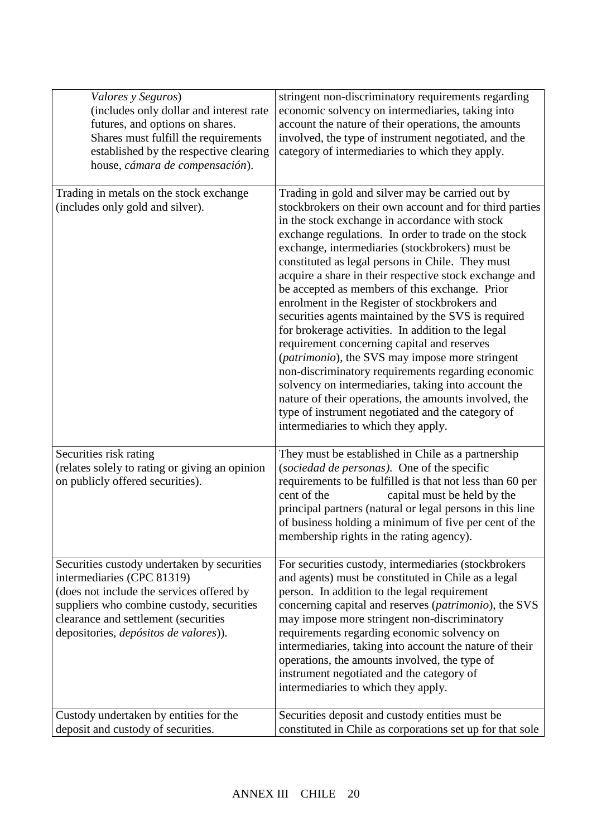| Valores y Seguros)<br>(includes only dollar and interest rate<br>futures, and options on shares.<br>Shares must fulfill the requirements<br>established by the respective clearing<br>house, cámara de compensación).                                | stringent non-discriminatory requirements regarding<br>economic solvency on intermediaries, taking into<br>account the nature of their operations, the amounts<br>involved, the type of instrument negotiated, and the<br>category of intermediaries to which they apply.                                                                                                                                                                                                                                                                                                                                                                                                                                                                                                                                                                                                                                                                                                  |
|------------------------------------------------------------------------------------------------------------------------------------------------------------------------------------------------------------------------------------------------------|----------------------------------------------------------------------------------------------------------------------------------------------------------------------------------------------------------------------------------------------------------------------------------------------------------------------------------------------------------------------------------------------------------------------------------------------------------------------------------------------------------------------------------------------------------------------------------------------------------------------------------------------------------------------------------------------------------------------------------------------------------------------------------------------------------------------------------------------------------------------------------------------------------------------------------------------------------------------------|
| Trading in metals on the stock exchange<br>(includes only gold and silver).                                                                                                                                                                          | Trading in gold and silver may be carried out by<br>stockbrokers on their own account and for third parties<br>in the stock exchange in accordance with stock<br>exchange regulations. In order to trade on the stock<br>exchange, intermediaries (stockbrokers) must be<br>constituted as legal persons in Chile. They must<br>acquire a share in their respective stock exchange and<br>be accepted as members of this exchange. Prior<br>enrolment in the Register of stockbrokers and<br>securities agents maintained by the SVS is required<br>for brokerage activities. In addition to the legal<br>requirement concerning capital and reserves<br>(patrimonio), the SVS may impose more stringent<br>non-discriminatory requirements regarding economic<br>solvency on intermediaries, taking into account the<br>nature of their operations, the amounts involved, the<br>type of instrument negotiated and the category of<br>intermediaries to which they apply. |
| Securities risk rating<br>(relates solely to rating or giving an opinion<br>on publicly offered securities).                                                                                                                                         | They must be established in Chile as a partnership<br>(sociedad de personas). One of the specific<br>requirements to be fulfilled is that not less than 60 per<br>cent of the<br>capital must be held by the<br>principal partners (natural or legal persons in this line<br>of business holding a minimum of five per cent of the<br>membership rights in the rating agency).                                                                                                                                                                                                                                                                                                                                                                                                                                                                                                                                                                                             |
| Securities custody undertaken by securities<br>intermediaries (CPC 81319)<br>(does not include the services offered by<br>suppliers who combine custody, securities<br>clearance and settlement (securities<br>depositories, depósitos de valores)). | For securities custody, intermediaries (stockbrokers<br>and agents) must be constituted in Chile as a legal<br>person. In addition to the legal requirement<br>concerning capital and reserves (patrimonio), the SVS<br>may impose more stringent non-discriminatory<br>requirements regarding economic solvency on<br>intermediaries, taking into account the nature of their<br>operations, the amounts involved, the type of<br>instrument negotiated and the category of<br>intermediaries to which they apply.                                                                                                                                                                                                                                                                                                                                                                                                                                                        |
| Custody undertaken by entities for the<br>deposit and custody of securities.                                                                                                                                                                         | Securities deposit and custody entities must be<br>constituted in Chile as corporations set up for that sole                                                                                                                                                                                                                                                                                                                                                                                                                                                                                                                                                                                                                                                                                                                                                                                                                                                               |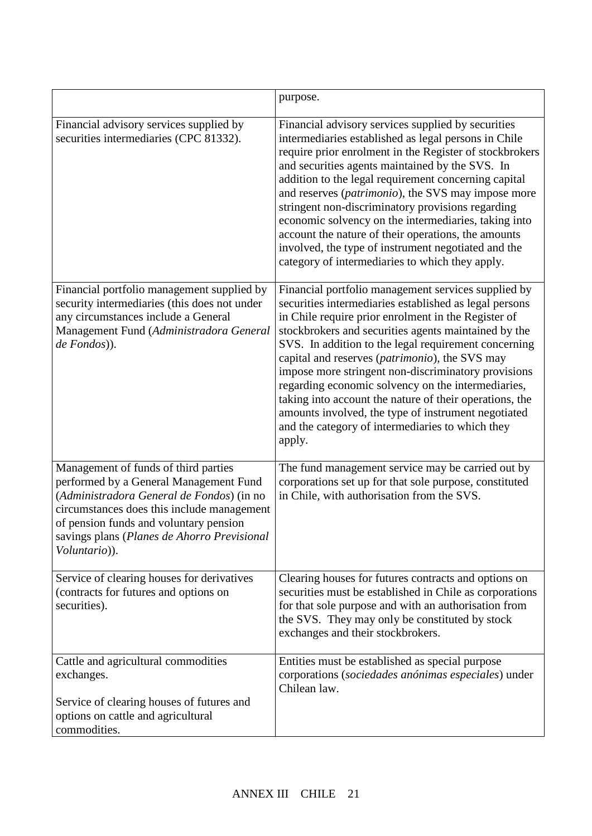|                                                                                                                                                                                                                                                                                     | purpose.                                                                                                                                                                                                                                                                                                                                                                                                                                                                                                                                                                                                                            |
|-------------------------------------------------------------------------------------------------------------------------------------------------------------------------------------------------------------------------------------------------------------------------------------|-------------------------------------------------------------------------------------------------------------------------------------------------------------------------------------------------------------------------------------------------------------------------------------------------------------------------------------------------------------------------------------------------------------------------------------------------------------------------------------------------------------------------------------------------------------------------------------------------------------------------------------|
| Financial advisory services supplied by<br>securities intermediaries (CPC 81332).                                                                                                                                                                                                   | Financial advisory services supplied by securities<br>intermediaries established as legal persons in Chile<br>require prior enrolment in the Register of stockbrokers<br>and securities agents maintained by the SVS. In<br>addition to the legal requirement concerning capital<br>and reserves (patrimonio), the SVS may impose more<br>stringent non-discriminatory provisions regarding<br>economic solvency on the intermediaries, taking into<br>account the nature of their operations, the amounts<br>involved, the type of instrument negotiated and the<br>category of intermediaries to which they apply.                |
| Financial portfolio management supplied by<br>security intermediaries (this does not under<br>any circumstances include a General<br>Management Fund (Administradora General<br>de Fondos)).                                                                                        | Financial portfolio management services supplied by<br>securities intermediaries established as legal persons<br>in Chile require prior enrolment in the Register of<br>stockbrokers and securities agents maintained by the<br>SVS. In addition to the legal requirement concerning<br>capital and reserves (patrimonio), the SVS may<br>impose more stringent non-discriminatory provisions<br>regarding economic solvency on the intermediaries,<br>taking into account the nature of their operations, the<br>amounts involved, the type of instrument negotiated<br>and the category of intermediaries to which they<br>apply. |
| Management of funds of third parties<br>performed by a General Management Fund<br>(Administradora General de Fondos) (in no<br>circumstances does this include management<br>of pension funds and voluntary pension<br>savings plans (Planes de Ahorro Previsional<br>Voluntario)). | The fund management service may be carried out by<br>corporations set up for that sole purpose, constituted<br>in Chile, with authorisation from the SVS.                                                                                                                                                                                                                                                                                                                                                                                                                                                                           |
| Service of clearing houses for derivatives<br>(contracts for futures and options on<br>securities).                                                                                                                                                                                 | Clearing houses for futures contracts and options on<br>securities must be established in Chile as corporations<br>for that sole purpose and with an authorisation from<br>the SVS. They may only be constituted by stock<br>exchanges and their stockbrokers.                                                                                                                                                                                                                                                                                                                                                                      |
| Cattle and agricultural commodities<br>exchanges.<br>Service of clearing houses of futures and<br>options on cattle and agricultural<br>commodities.                                                                                                                                | Entities must be established as special purpose<br>corporations (sociedades anónimas especiales) under<br>Chilean law.                                                                                                                                                                                                                                                                                                                                                                                                                                                                                                              |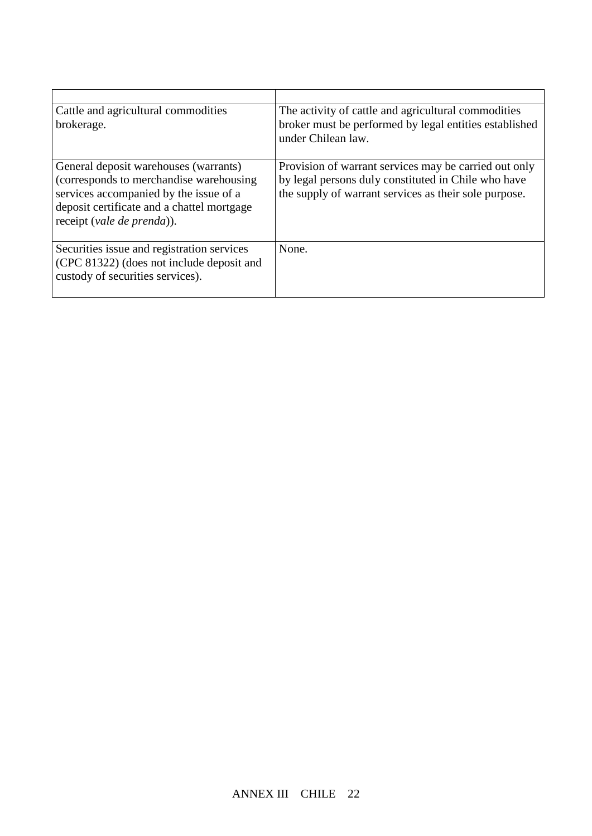| Cattle and agricultural commodities<br>brokerage.                                                                                                                                                       | The activity of cattle and agricultural commodities<br>broker must be performed by legal entities established<br>under Chilean law.                                   |
|---------------------------------------------------------------------------------------------------------------------------------------------------------------------------------------------------------|-----------------------------------------------------------------------------------------------------------------------------------------------------------------------|
| General deposit warehouses (warrants)<br>(corresponds to merchandise warehousing)<br>services accompanied by the issue of a<br>deposit certificate and a chattel mortgage<br>receipt (vale de prenda)). | Provision of warrant services may be carried out only<br>by legal persons duly constituted in Chile who have<br>the supply of warrant services as their sole purpose. |
| Securities issue and registration services<br>(CPC 81322) (does not include deposit and<br>custody of securities services).                                                                             | None.                                                                                                                                                                 |